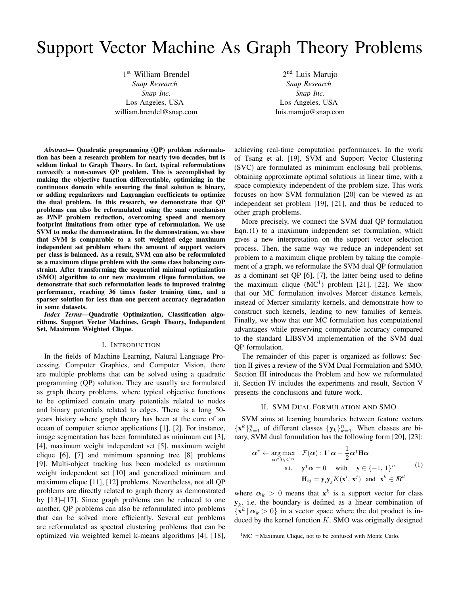# Support Vector Machine As Graph Theory Problems

1 st William Brendel *Snap Research Snap Inc.* Los Angeles, USA william.brendel@snap.com

2<sup>nd</sup> Luis Marujo *Snap Research Snap Inc.* Los Angeles, USA luis.marujo@snap.com

*Abstract*— Quadratic programming (QP) problem reformulation has been a research problem for nearly two decades, but is seldom linked to Graph Theory. In fact, typical reformulations convexify a non-convex QP problem. This is accomplished by making the objective function differentiable, optimizing in the continuous domain while ensuring the final solution is binary, or adding regularizers and Lagrangian coefficients to optimize the dual problem. In this research, we demonstrate that QP problems can also be reformulated using the same mechanism as P/NP problem reduction, overcoming speed and memory footprint limitations from other type of reformulation. We use SVM to make the demonstration. In the demonstration, we show that SVM is comparable to a soft weighted edge maximum independent set problem where the amount of support vectors per class is balanced. As a result, SVM can also be reformulated as a maximum clique problem with the same class balancing constraint. After transforming the sequential minimal optimization (SMO) algorithm to our new maximum clique formulation, we demonstrate that such reformulation leads to improved training performance, reaching 36 times faster training time, and a sparser solution for less than one percent accuracy degradation in some datasets.

*Index Terms*—Quadratic Optimization, Classification algorithms, Support Vector Machines, Graph Theory, Independent Set, Maximum Weighted Clique.

### I. INTRODUCTION

In the fields of Machine Learning, Natural Language Processing, Computer Graphics, and Computer Vision, there are multiple problems that can be solved using a quadratic programming (QP) solution. They are usually are formulated as graph theory problems, where typical objective functions to be optimized contain unary potentials related to nodes and binary potentials related to edges. There is a long 50 years history where graph theory has been at the core of an ocean of computer science applications [1], [2]. For instance, image segmentation has been formulated as minimum cut [3], [4], maximum weight independent set [5], maximum weight clique [6], [7] and minimum spanning tree [8] problems [9]. Multi-object tracking has been modeled as maximum weight independent set [10] and generalized minimum and maximum clique [11], [12] problems. Nevertheless, not all QP problems are directly related to graph theory as demonstrated by [13]–[17]. Since graph problems can be reduced to one another, QP problems can also be reformulated into problems that can be solved more efficiently. Several cut problems are reformulated as spectral clustering problems that can be optimized via weighted kernel k-means algorithms [4], [18], achieving real-time computation performances. In the work of Tsang et al. [19], SVM and Support Vector Clustering (SVC) are formulated as minimum enclosing ball problems, obtaining approximate optimal solutions in linear time, with a space complexity independent of the problem size. This work focuses on how SVM formulation [20] can be viewed as an independent set problem [19], [21], and thus be reduced to other graph problems.

More precisely, we connect the SVM dual QP formulation Eqn. (1) to a maximum independent set formulation, which gives a new interpretation on the support vector selection process. Then, the same way we reduce an independent set problem to a maximum clique problem by taking the complement of a graph, we reformulate the SVM dual QP formulation as a dominant set QP [6], [7], the latter being used to define the maximum clique  $(MC<sup>1</sup>)$  problem [21], [22]. We show that our MC formulation involves Mercer distance kernels, instead of Mercer similarity kernels, and demonstrate how to construct such kernels, leading to new families of kernels. Finally, we show that our MC formulation has computational advantages while preserving comparable accuracy compared to the standard LIBSVM implementation of the SVM dual QP formulation.

The remainder of this paper is organized as follows: Section II gives a review of the SVM Dual Formulation and SMO, Section III introduces the Problem and how we reformulated it, Section IV includes the experiments and result, Section V presents the conclusions and future work.

## II. SVM DUAL FORMULATION AND SMO

SVM aims at learning boundaries between feature vectors  ${x^k}_{k=1}^n$  of different classes  ${y_k}_{k=1}^n$ . When classes are binary, SVM dual formulation has the following form [20], [23]:

$$
\boldsymbol{\alpha}^* \leftarrow \underset{\boldsymbol{\alpha} \in [0, C]^n}{\arg \max} \quad \mathcal{F}(\boldsymbol{\alpha}) : \mathbf{1}^\mathsf{T} \boldsymbol{\alpha} - \frac{1}{2} \boldsymbol{\alpha}^\mathsf{T} \mathbf{H} \boldsymbol{\alpha}
$$
  
s.t. 
$$
\mathbf{y}^\mathsf{T} \boldsymbol{\alpha} = 0 \quad \text{with} \quad \mathbf{y} \in \{-1, 1\}^n \tag{1}
$$

$$
\mathbf{H}_{ij} = \mathbf{y}_i \mathbf{y}_j K(\mathbf{x}^i, \mathbf{x}^j) \quad \text{and} \quad \mathbf{x}^k \in \mathbb{R}^d
$$

where  $\alpha_k > 0$  means that  $\mathbf{x}^k$  is a support vector for class  $y_k$ , i.e. the boundary is defined as a linear combination of  ${x^k | \alpha_k > 0}$  in a vector space where the dot product is induced by the kernel function  $K$ . SMO was originally designed

 $1^1$ MC = Maximum Clique, not to be confused with Monte Carlo.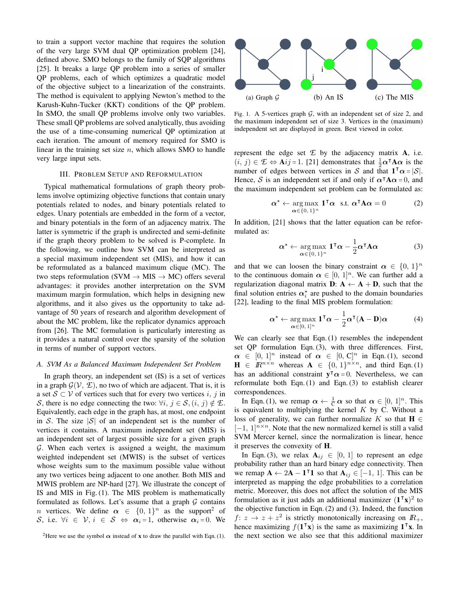to train a support vector machine that requires the solution of the very large SVM dual QP optimization problem [24], defined above. SMO belongs to the family of SQP algorithms [25]. It breaks a large QP problem into a series of smaller QP problems, each of which optimizes a quadratic model of the objective subject to a linearization of the constraints. The method is equivalent to applying Newton's method to the Karush-Kuhn-Tucker (KKT) conditions of the QP problem. In SMO, the small QP problems involve only two variables. These small QP problems are solved analytically, thus avoiding the use of a time-consuming numerical QP optimization at each iteration. The amount of memory required for SMO is linear in the training set size  $n$ , which allows SMO to handle very large input sets.

## III. PROBLEM SETUP AND REFORMULATION

Typical mathematical formulations of graph theory problems involve optimizing objective functions that contain unary potentials related to nodes, and binary potentials related to edges. Unary potentials are embedded in the form of a vector, and binary potentials in the form of an adjacency matrix. The latter is symmetric if the graph is undirected and semi-definite if the graph theory problem to be solved is P-complete. In the following, we outline how SVM can be interpreted as a special maximum independent set (MIS), and how it can be reformulated as a balanced maximum clique (MC). The two steps reformulation (SVM  $\rightarrow$  MIS  $\rightarrow$  MC) offers several advantages: it provides another interpretation on the SVM maximum margin formulation, which helps in designing new algorithms, and it also gives us the opportunity to take advantage of 50 years of research and algorithm development of about the MC problem, like the replicator dynamics approach from [26]. The MC formulation is particularly interesting as it provides a natural control over the sparsity of the solution in terms of number of support vectors.

#### *A. SVM As a Balanced Maximum Independent Set Problem*

In graph theory, an independent set (IS) is a set of vertices in a graph  $\mathcal{G}(\mathcal{V}, \mathcal{L})$ , no two of which are adjacent. That is, it is a set  $S \subset V$  of vertices such that for every two vertices i, j in S, there is no edge connecting the two:  $\forall i, j \in S$ ,  $(i, j) \notin E$ . Equivalently, each edge in the graph has, at most, one endpoint in S. The size  $|S|$  of an independent set is the number of vertices it contains. A maximum independent set (MIS) is an independent set of largest possible size for a given graph  $G$ . When each vertex is assigned a weight, the maximum weighted independent set (MWIS) is the subset of vertices whose weights sum to the maximum possible value without any two vertices being adjacent to one another. Both MIS and MWIS problem are NP-hard [27]. We illustrate the concept of IS and MIS in Fig. (1). The MIS problem is mathematically formulated as follows. Let's assume that a graph  $G$  contains *n* vertices. We define  $\alpha \in \{0, 1\}^n$  as the support<sup>2</sup> of S, i.e.  $\forall i \in \mathcal{V}, i \in \mathcal{S} \Leftrightarrow \alpha_i = 1$ , otherwise  $\alpha_i = 0$ . We





Fig. 1. A 5-vertices graph  $G$ , with an independent set of size 2, and the maximum independent set of size 3. Vertices in the (maximum) independent set are displayed in green. Best viewed in color.

represent the edge set  $E$  by the adjacency matrix  $A$ , i.e.  $(i, j) \in \mathcal{L} \Leftrightarrow \mathbf{A}ij = 1$ . [21] demonstrates that  $\frac{1}{2}\alpha^T \mathbf{A} \alpha$  is the number of edges between vertices in S and that  $1^{\top} \alpha = |\mathcal{S}|$ . Hence, S is an independent set if and only if  $\alpha^{\dagger}A\alpha = 0$ , and the maximum independent set problem can be formulated as:

$$
\alpha^* \leftarrow \underset{\alpha \in \{0, 1\}^n}{\arg \max} \mathbf{1}^\mathsf{T} \alpha \quad \text{s.t.} \quad \alpha^\mathsf{T} \mathbf{A} \alpha = 0 \tag{2}
$$

In addition, [21] shows that the latter equation can be reformulated as:

$$
\boldsymbol{\alpha}^{\star} \leftarrow \underset{\boldsymbol{\alpha} \in \{0, 1\}^n}{\arg \max} \mathbf{1}^{\mathsf{T}} \boldsymbol{\alpha} - \frac{1}{2} \boldsymbol{\alpha}^{\mathsf{T}} \mathbf{A} \boldsymbol{\alpha}
$$
 (3)

and that we can loosen the binary constraint  $\alpha \in \{0, 1\}^n$ to the continuous domain  $\alpha \in [0, 1]^n$ . We can further add a regularization diagonal matrix  $D: A \leftarrow A + D$ , such that the final solution entries  $\alpha_i^*$  are pushed to the domain boundaries [22], leading to the final MIS problem formulation:

$$
\boldsymbol{\alpha}^{\star} \leftarrow \underset{\boldsymbol{\alpha} \in [0,1]^n}{\arg \max} \mathbf{1}^{\mathsf{T}} \boldsymbol{\alpha} - \frac{1}{2} \boldsymbol{\alpha}^{\mathsf{T}} (\mathbf{A} - \mathbf{D}) \boldsymbol{\alpha}
$$
 (4)

We can clearly see that Eqn. (1) resembles the independent set QP formulation Eqn. (3), with three differences. First,  $\alpha \in [0, 1]^n$  instead of  $\alpha \in [0, C]^n$  in Eqn. (1), second  $\mathbf{H} \in \mathbb{R}^{n \times n}$  whereas  $\mathbf{A} \in \{0, 1\}^{n \times n}$ , and third Eqn. (1) has an additional constraint  $y^T \alpha = 0$ . Nevertheless, we can reformulate both Eqn. (1) and Eqn. (3) to establish clearer correspondences.

In Eqn. (1), we remap  $\alpha \leftarrow \frac{1}{C} \alpha$  so that  $\alpha \in [0, 1]^n$ . This is equivalent to multiplying the kernel  $K$  by C. Without a loss of generality, we can further normalize K so that  $H \in$  $[-1, 1]^{n \times n}$ . Note that the new normalized kernel is still a valid SVM Mercer kernel, since the normalization is linear, hence it preserves the convexity of H.

In Eqn. (3), we relax  $A_{ij} \in [0, 1]$  to represent an edge probability rather than an hard binary edge connectivity. Then we remap  $\mathbf{A} \leftarrow 2\mathbf{A} - \mathbf{1}^\top \mathbf{1}$  so that  $\mathbf{A}_{ij} \in [-1, 1]$ . This can be interpreted as mapping the edge probabilities to a correlation metric. Moreover, this does not affect the solution of the MIS formulation as it just adds an additional maximizer  $(1^T x)^2$  to the objective function in Eqn. (2) and (3). Indeed, the function  $f: z \to z + z^2$  is strictly monotonically increasing on  $I\! R_+$ , hence maximizing  $f(1^T x)$  is the same as maximizing  $1^T x$ . In the next section we also see that this additional maximizer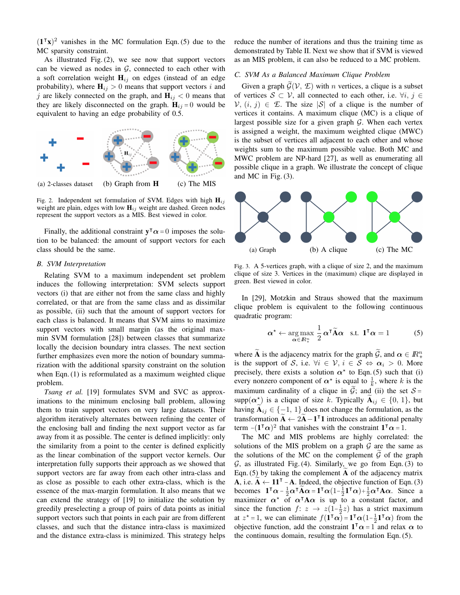$(1^T x)^2$  vanishes in the MC formulation Eqn. (5) due to the MC sparsity constraint.

As illustrated Fig. (2), we see now that support vectors can be viewed as nodes in  $G$ , connected to each other with a soft correlation weight  $H_{ij}$  on edges (instead of an edge probability), where  $H_{ij} > 0$  means that support vectors i and j are likely connected on the graph, and  $H_{ij} < 0$  means that they are likely disconnected on the graph.  $H_{ij} = 0$  would be equivalent to having an edge probability of 0.5.



Fig. 2. Independent set formulation of SVM. Edges with high  $H_{ij}$ weight are plain, edges with low  $H_{ij}$  weight are dashed. Green nodes represent the support vectors as a MIS. Best viewed in color.

Finally, the additional constraint  $y^{\dagger} \alpha = 0$  imposes the solution to be balanced: the amount of support vectors for each class should be the same.

## *B. SVM Interpretation*

Relating SVM to a maximum independent set problem induces the following interpretation: SVM selects support vectors (i) that are either not from the same class and highly correlated, or that are from the same class and as dissimilar as possible, (ii) such that the amount of support vectors for each class is balanced. It means that SVM aims to maximize support vectors with small margin (as the original maxmin SVM formulation [28]) between classes that summarize locally the decision boundary intra classes. The next section further emphasizes even more the notion of boundary summarization with the additional sparsity constraint on the solution when Eqn. (1) is reformulated as a maximum weighted clique problem.

*Tsang et al.* [19] formulates SVM and SVC as approximations to the minimum enclosing ball problem, allowing them to train support vectors on very large datasets. Their algorithm iteratively alternates between refining the center of the enclosing ball and finding the next support vector as far away from it as possible. The center is defined implicitly: only the similarity from a point to the center is defined explicitly as the linear combination of the support vector kernels. Our interpretation fully supports their approach as we showed that support vectors are far away from each other intra-class and as close as possible to each other extra-class, which is the essence of the max-margin formulation. It also means that we can extend the strategy of [19] to initialize the solution by greedily preselecting a group of pairs of data points as initial support vectors such that points in each pair are from different classes, and such that the distance intra-class is maximized and the distance extra-class is minimized. This strategy helps reduce the number of iterations and thus the training time as demonstrated by Table II. Next we show that if SVM is viewed as an MIS problem, it can also be reduced to a MC problem.

## *C. SVM As a Balanced Maximum Clique Problem*

Given a graph  $\widetilde{\mathcal{G}}(\mathcal{V}, \mathcal{I})$  with *n* vertices, a clique is a subset of vertices  $S \subset V$ , all connected to each other, i.e.  $\forall i, j \in$  $V, (i, j) \in \mathcal{L}$ . The size  $|\mathcal{S}|$  of a clique is the number of vertices it contains. A maximum clique (MC) is a clique of largest possible size for a given graph  $G$ . When each vertex is assigned a weight, the maximum weighted clique (MWC) is the subset of vertices all adjacent to each other and whose weights sum to the maximum possible value. Both MC and MWC problem are NP-hard [27], as well as enumerating all possible clique in a graph. We illustrate the concept of clique and MC in Fig. (3).



Fig. 3. A 5-vertices graph, with a clique of size 2, and the maximum clique of size 3. Vertices in the (maximum) clique are displayed in green. Best viewed in color.

In [29], Motzkin and Straus showed that the maximum clique problem is equivalent to the following continuous quadratic program:

$$
\boldsymbol{\alpha}^{\star} \leftarrow \underset{\boldsymbol{\alpha} \in \mathbb{R}_{+}^{n}}{\arg \max} \frac{1}{2} \boldsymbol{\alpha}^{\mathsf{T}} \widetilde{\mathbf{A}} \boldsymbol{\alpha} \quad \text{s.t.} \quad \mathbf{1}^{\mathsf{T}} \boldsymbol{\alpha} = 1 \tag{5}
$$

where  $\widetilde{A}$  is the adjacency matrix for the graph  $\widetilde{G}$ , and  $\alpha \in \mathbb{R}^n_+$ is the support of S, i.e.  $\forall i \in \mathcal{V}, i \in \mathcal{S} \Leftrightarrow \alpha_i > 0$ . More precisely, there exists a solution  $\alpha^*$  to Eqn. (5) such that (i) every nonzero component of  $\alpha^*$  is equal to  $\frac{1}{k}$ , where k is the maximum cardinality of a clique in  $G$ ; and (ii) the set  $S =$  $\text{supp}(\alpha^{\star})$  is a clique of size k. Typically  $\widetilde{A}_{ij} \in \{0, 1\}$ , but having  $A_{ij} \in \{-1, 1\}$  does not change the formulation, as the transformation  $\widetilde{A} \leftarrow 2\widetilde{A} - 1^{\top}1$  introduces an additional penalty term  $-(\mathbf{1}^T\boldsymbol{\alpha})^2$  that vanishes with the constraint  $\mathbf{1}^T\boldsymbol{\alpha} = 1$ .

The MC and MIS problems are highly correlated: the solutions of the MIS problem on a graph  $G$  are the same as the solutions of the MC on the complement  $G$  of the graph  $G$ , as illustrated Fig. (4). Similarly, we go from Eqn. (3) to Eqn. (5) by taking the complement  $A$  of the adjacency matrix A, i.e.  $A \leftarrow 11^{\top}$  – A. Indeed, the objective function of Eqn. (3) becomes  $\mathbf{1}^\mathsf{T}\boldsymbol{\alpha} - \frac{1}{2}\boldsymbol{\alpha}^\mathsf{T}\widetilde{\mathbf{A}}\boldsymbol{\alpha} = \mathbf{1}^\mathsf{T}\boldsymbol{\alpha}\left(1-\frac{1}{2}\mathbf{1}^\mathsf{T}\boldsymbol{\alpha}\right) + \frac{1}{2}\boldsymbol{\alpha}^\mathsf{T}\mathbf{A}\boldsymbol{\alpha}$ . Since a maximizer  $\alpha^*$  of  $\alpha^{\dagger}A\alpha$  is up to a constant factor, and since the function  $f: z \to z(1-\frac{1}{2}z)$  has a strict maximum at  $z^* = 1$ , we can eliminate  $f(\mathbf{1}^\mathsf{T}\boldsymbol{\alpha}) = \mathbf{1}^\mathsf{T}\boldsymbol{\alpha} (1-\frac{1}{2}\mathbf{1}^\mathsf{T}\boldsymbol{\alpha})$  from the objective function, add the constraint  $1^{\dagger} \alpha = 1^{\dagger}$  and relax  $\alpha$  to the continuous domain, resulting the formulation Eqn. (5).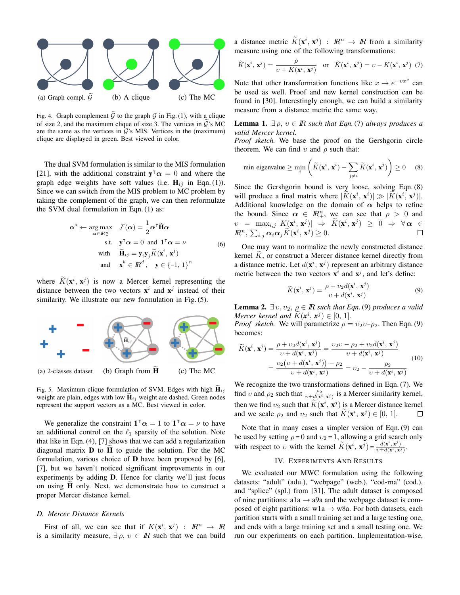

Fig. 4. Graph complement  $\mathcal G$  to the graph  $\mathcal G$  in Fig. (1), with a clique of size 2, and the maximum clique of size 3. The vertices in  $\tilde{G}$ 's MC are the same as the vertices in  $\mathcal{G}'$ 's MIS. Vertices in the (maximum) clique are displayed in green. Best viewed in color.

The dual SVM formulation is similar to the MIS formulation [21], with the additional constraint  $y^{\dagger} \alpha = 0$  and where the graph edge weights have soft values (i.e.  $H_{ij}$  in Eqn. (1)). Since we can switch from the MIS problem to MC problem by taking the complement of the graph, we can then reformulate the SVM dual formulation in Eqn. (1) as:

$$
\alpha^* \leftarrow \underset{\alpha \in \mathbb{R}_+^n}{\arg \max} \quad \mathcal{F}(\alpha) = \frac{1}{2} \alpha^{\mathsf{T}} \widetilde{\mathbf{H}} \alpha
$$
\n
$$
\text{s.t.} \quad \mathbf{y}^{\mathsf{T}} \alpha = 0 \text{ and } \mathbf{1}^{\mathsf{T}} \alpha = \nu
$$
\n
$$
\text{with} \quad \widetilde{\mathbf{H}}_{ij} = \mathbf{y}_i \mathbf{y}_j \widetilde{K}(\mathbf{x}^i, \mathbf{x}^j)
$$
\n
$$
\text{and} \quad \mathbf{x}^k \in \mathbb{R}^d, \quad \mathbf{y} \in \{-1, 1\}^n
$$
\n
$$
(6)
$$

where  $\widetilde{K}(\mathbf{x}^i, \mathbf{x}^j)$  is now a Mercer kernel representing the distance between the two vectors  $x^i$  and  $x^j$  instead of their similarity. We illustrate our new formulation in Fig. (5).



Fig. 5. Maximum clique formulation of SVM. Edges with high  $\widetilde{\mathbf{H}}_{ij}$ weight are plain, edges with low  $H_{ij}$  weight are dashed. Green nodes represent the support vectors as a MC. Best viewed in color.

We generalize the constraint  $\mathbf{1}^\mathsf{T} \alpha = 1$  to  $\mathbf{1}^\mathsf{T} \alpha = \nu$  to have an additional control on the  $\ell_1$  sparsity of the solution. Note that like in Eqn. (4), [7] shows that we can add a regularization diagonal matrix  $\bf{D}$  to  $\bf{H}$  to guide the solution. For the MC formulation, various choice of D have been proposed by [6], [7], but we haven't noticed significant improvements in our experiments by adding D. Hence for clarity we'll just focus on using  $H$  only. Next, we demonstrate how to construct a proper Mercer distance kernel.

## *D. Mercer Distance Kernels*

First of all, we can see that if  $K(\mathbf{x}^i, \mathbf{x}^j)$  :  $\mathbb{R}^n \to \mathbb{R}$ is a similarity measure,  $\exists \rho, v \in \mathbb{R}$  such that we can build

a distance metric  $\widetilde{K}(\mathbf{x}^i, \mathbf{x}^j)$  :  $\mathbb{R}^n \to \mathbb{R}$  from a similarity measure using one of the following transformations:

$$
\widetilde{K}(\mathbf{x}^i, \mathbf{x}^j) = \frac{\rho}{\upsilon + K(\mathbf{x}^i, \mathbf{x}^j)}
$$
 or  $\widetilde{K}(\mathbf{x}^i, \mathbf{x}^j) = \upsilon - K(\mathbf{x}^i, \mathbf{x}^j)$  (7)

Note that other transformation functions like  $x \to e^{-vx^{\rho}}$  can be used as well. Proof and new kernel construction can be found in [30]. Interestingly enough, we can build a similarity measure from a distance metric the same way.

**Lemma 1.**  $\exists \rho, v \in \mathbb{R}$  *such that Eqn.*(7) *always produces a valid Mercer kernel.*

*Proof sketch.* We base the proof on the Gershgorin circle theorem. We can find  $v$  and  $\rho$  such that:

min eigenvalue 
$$
\geq \min_{i} \left( \widetilde{K}(\mathbf{x}^i, \mathbf{x}^i) - \sum_{j \neq i} \widetilde{K}(\mathbf{x}^i, \mathbf{x}^j) \right) \geq 0
$$
 (8)

Since the Gershgorin bound is very loose, solving Eqn. (8) will produce a final matrix where  $|K(\mathbf{x}^i, \mathbf{x}^i)| \gg |K(\mathbf{x}^i, \mathbf{x}^j)|$ . Additional knowledge on the domain of  $\alpha$  helps to refine the bound. Since  $\alpha \in \mathbb{R}^n_+$ , we can see that  $\rho > 0$  and  $v = \max_{i,j} |K(\mathbf{x}^i, \mathbf{x}^j)| \Rightarrow \tilde{K}(\mathbf{x}^i, \mathbf{x}^j) \geq 0 \Rightarrow \forall \alpha \in \mathbb{R}$  $\mathbb{R}^n$ ,  $\sum_{i,j} \alpha_i \alpha_j \widetilde{K}(\mathbf{x}^i, \mathbf{x}^j) \geq 0$ .  $\Box$ 

One may want to normalize the newly constructed distance kernel  $K$ , or construct a Mercer distance kernel directly from a distance metric. Let  $d(\mathbf{x}^i, \mathbf{x}^j)$  represent an arbitrary distance metric between the two vectors  $\mathbf{x}^i$  and  $\mathbf{x}^j$ , and let's define:

$$
\widetilde{K}(\mathbf{x}^i, \mathbf{x}^j) = \frac{\rho + v_2 d(\mathbf{x}^i, \mathbf{x}^j)}{v + d(\mathbf{x}^i, \mathbf{x}^j)}
$$
(9)

**Lemma 2.**  $\exists v, v_2, \rho \in \mathbb{R}$  *such that Eqn.* (9) *produces a valid Mercer kernel and*  $\widetilde{K}(\mathbf{x}^i, \mathbf{x}^j) \in [0, 1]$ *. Pusef skatch We will personatrize* 

*Proof sketch.* We will parametrize  $\rho = v_2v-\rho_2$ . Then Eqn. (9) becomes:

$$
\widetilde{K}(\mathbf{x}^i, \mathbf{x}^j) = \frac{\rho + v_2 d(\mathbf{x}^i, \mathbf{x}^j)}{v + d(\mathbf{x}^i, \mathbf{x}^j)} = \frac{v_2 v - \rho_2 + v_2 d(\mathbf{x}^i, \mathbf{x}^j)}{v + d(\mathbf{x}^i, \mathbf{x}^j)}
$$
\n
$$
= \frac{v_2 (v + d(\mathbf{x}^i, \mathbf{x}^j)) - \rho_2}{v + d(\mathbf{x}^i, \mathbf{x}^j)} = v_2 - \frac{\rho_2}{v + d(\mathbf{x}^i, \mathbf{x}^j)}
$$
\n(10)

We recognize the two transformations defined in Eqn. (7). We find v and  $\rho_2$  such that  $\frac{\rho_2}{v+d(\mathbf{x}^i,\mathbf{x}^j)}$  is a Mercer similarity kernel, then we find  $v_2$  such that  $\tilde{K}(\mathbf{x}^i, \mathbf{x}^j)$  is a Mercer distance kernel and we scale  $\rho_2$  and  $v_2$  such that  $\tilde{K}(\mathbf{x}^i, \mathbf{x}^j) \in [0, 1]$ .  $\Box$ 

Note that in many cases a simpler version of Eqn. (9) can be used by setting  $\rho = 0$  and  $v_2 = 1$ , allowing a grid search only with respect to v with the kernel  $\widetilde{K}(\mathbf{x}^i, \mathbf{x}^j) = \frac{d(\mathbf{x}^i, \mathbf{x}^j)}{v + d(\mathbf{x}^i, \mathbf{x}^j)}$ .

#### IV. EXPERIMENTS AND RESULTS

We evaluated our MWC formulation using the following datasets: "adult" (adu.), "webpage" (web.), "cod-rna" (cod.), and "splice" (spl.) from [31]. The adult dataset is composed of nine partitions: a1a  $\rightarrow$  a9a and the webpage dataset is composed of eight partitions:  $w1a \rightarrow w8a$ . For both datasets, each partition starts with a small training set and a large testing one, and ends with a large training set and a small testing one. We run our experiments on each partition. Implementation-wise,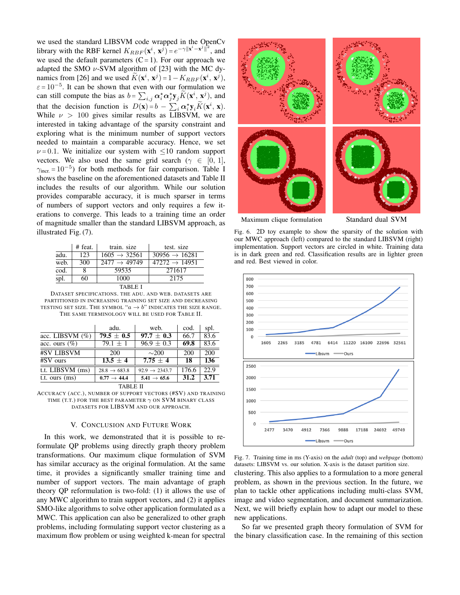we used the standard LIBSVM code wrapped in the OpenCv library with the RBF kernel  $K_{RBF}(\mathbf{x}^i, \mathbf{x}^j) = e^{-\gamma ||\mathbf{x}^i - \mathbf{x}^j||^2}$ , and we used the default parameters  $(C = 1)$ . For our approach we adapted the SMO  $\nu$ -SVM algorithm of [23] with the MC dynamics from [26] and we used  $\tilde{K}(\mathbf{x}^i, \mathbf{x}^j) = 1 - K_{RBF}(\mathbf{x}^i, \mathbf{x}^j)$ ,  $\varepsilon = 10^{-5}$ . It can be shown that even with our formulation we can still compute the bias as  $b = \sum_{i,j} \alpha_i^* \alpha_j^* \mathbf{y}_j \widetilde{K}(\mathbf{x}^i, \mathbf{x}^j)$ , and that the decision function is  $D(\mathbf{x}) = b - \sum_i \alpha_i^* \mathbf{y}_i \tilde{K}(\mathbf{x}^i, \mathbf{x}).$ While  $\nu > 100$  gives similar results as LIBSVM, we are interested in taking advantage of the sparsity constraint and exploring what is the minimum number of support vectors needed to maintain a comparable accuracy. Hence, we set  $\nu = 0.1$ . We initialize our system with  $\leq 10$  random support vectors. We also used the same grid search ( $\gamma \in [0, 1]$ ,  $\gamma_{\text{incr.}} = 10^{-5}$ ) for both methods for fair comparison. Table I shows the baseline on the aforementioned datasets and Table II includes the results of our algorithm. While our solution provides comparable accuracy, it is much sparser in terms of numbers of support vectors and only requires a few iterations to converge. This leads to a training time an order of magnitude smaller than the standard LIBSVM approach, as illustrated Fig. (7).

|                          | # feat. | train, size              | test. size                |  |  |  |
|--------------------------|---------|--------------------------|---------------------------|--|--|--|
| adu.                     | 123     | $1605 \rightarrow 32561$ | $30956 \rightarrow 16281$ |  |  |  |
| web.                     | 300     | $2477 \rightarrow 49749$ | $47272 \rightarrow 14951$ |  |  |  |
| $\overline{\text{cod.}}$ | 8       | 59535                    | 271617                    |  |  |  |
| spl.                     | 60      | 1000                     | 2175                      |  |  |  |
| TABLE I                  |         |                          |                           |  |  |  |

DATASET SPECIFICATIONS. THE ADU. AND WEB. DATASETS ARE PARTITIONED IN INCREASING TRAINING SET SIZE AND DECREASING TESTING SET SIZE. THE SYMBOL " $a \rightarrow b$ " INDICATES THE SIZE RANGE. THE SAME TERMINOLOGY WILL BE USED FOR TABLE II.

|                    | adu.                     | web.                      | cod.  | spl.              |  |  |  |
|--------------------|--------------------------|---------------------------|-------|-------------------|--|--|--|
| acc. LIBSVM $(\%)$ | $79.5 + 0.5$             | $97.7 + 0.3$              | 66.7  | 83.6              |  |  |  |
| acc. ours $(\%)$   | $79.1 \pm 1$             | $96.9 \pm 0.3$            | 69.8  | 83.6              |  |  |  |
| <b>#SV LIBSVM</b>  | 200                      | $\sim$ 200                | 200   | 200               |  |  |  |
| #SV ours           | $13.5 + 4$               | $7.75 + 4$                | 18    | 136               |  |  |  |
| t.t. LIBSVM (ms)   | $28.8 \rightarrow 683.8$ | $92.9 \rightarrow 2343.7$ | 176.6 | $\overline{22.9}$ |  |  |  |
| t.t. ours (ms)     | $0.77 \rightarrow 44.4$  | $5.41 \rightarrow 65.6$   | 31.2  | 3.71              |  |  |  |
| TABLE II           |                          |                           |       |                   |  |  |  |



## V. CONCLUSION AND FUTURE WORK

In this work, we demonstrated that it is possible to reformulate QP problems using directly graph theory problem transformations. Our maximum clique formulation of SVM has similar accuracy as the original formulation. At the same time, it provides a significantly smaller training time and number of support vectors. The main advantage of graph theory QP reformulation is two-fold: (1) it allows the use of any MWC algorithm to train support vectors, and (2) it applies SMO-like algorithms to solve other application formulated as a MWC. This application can also be generalized to other graph problems, including formulating support vector clustering as a maximum flow problem or using weighted k-mean for spectral



Maximum clique formulation Standard dual SVM

Fig. 6. 2D toy example to show the sparsity of the solution with our MWC approach (left) compared to the standard LIBSVM (right) implementation. Support vectors are circled in white. Training data is in dark green and red. Classification results are in lighter green and red. Best viewed in color.



Fig. 7. Training time in ms (Y-axis) on the *adult* (top) and *webpage* (bottom) datasets: LIBSVM vs. our solution. X-axis is the dataset partition size. clustering. This also applies to a formulation to a more general problem, as shown in the previous section. In the future, we plan to tackle other applications including multi-class SVM, image and video segmentation, and document summarization. Next, we will briefly explain how to adapt our model to these

So far we presented graph theory formulation of SVM for the binary classification case. In the remaining of this section

new applications.